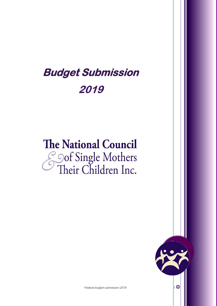## **Budget Submission** 2019

# **The National Council Sof Single Mothers**<br>Their Children Inc.



Federal budget submission 2018 1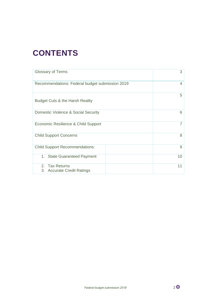## **CONTENTS**

| <b>Glossary of Terms</b>                        | 3  |
|-------------------------------------------------|----|
| Recommendations: Federal budget submission 2019 | 4  |
| Budget Cuts & the Harsh Reality                 | 5  |
| Domestic Violence & Social Security             | 6  |
| Economic Resilience & Child Support             |    |
| <b>Child Support Concerns</b>                   | 8  |
| <b>Child Support Recommendations:</b>           | 9  |
| 1. State Guaranteed Payment                     | 10 |
| 2. Tax Returns<br>3. Accurate Credit Ratings    | 11 |

$$
2\,\Theta
$$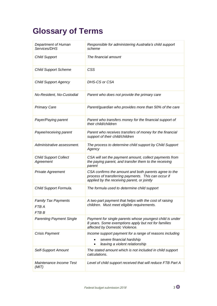## **Glossary of Terms**

| Department of Human<br>Services/DHS                 | Responsible for administering Australia's child support<br>scheme                                                                                           |
|-----------------------------------------------------|-------------------------------------------------------------------------------------------------------------------------------------------------------------|
| <b>Child Support</b>                                | The financial amount                                                                                                                                        |
| <b>Child Support Scheme</b>                         | <b>CSS</b>                                                                                                                                                  |
| <b>Child Support Agency</b>                         | DHS-CS or CSA                                                                                                                                               |
| No-Resident, No-Custodial                           | Parent who does not provide the primary care                                                                                                                |
| <b>Primary Care</b>                                 | Parent/guardian who provides more than 50% of the care                                                                                                      |
| Payer/Paying parent                                 | Parent who transfers money for the financial support of<br>their child/children                                                                             |
| Payee/receiving parent                              | Parent who receives transfers of money for the financial<br>support of their child/children                                                                 |
| Administrative assessment.                          | The process to determine child support by Child Support<br>Agency                                                                                           |
| <b>Child Support Collect</b><br>Agreement           | CSA will set the payment amount, collect payments from<br>the paying parent, and transfer them to the receiving<br>parent                                   |
| <b>Private Agreement</b>                            | CSA confirms the amount and both parents agree to the<br>process of transferring payments. This can occur if<br>applied by the receiving parent, or jointly |
| Child Support Formula.                              | The formula used to determine child support                                                                                                                 |
| <b>Family Tax Payments</b><br>FTB A<br><b>FTB B</b> | A two-part payment that helps with the cost of raising<br>children. Must meet eligible requirements.                                                        |
| <b>Parenting Payment Single</b>                     | Payment for single parents whose youngest child is under<br>8 years. Some exemptions apply but not for families<br>affected by Domestic Violence.           |
| <b>Crisis Payment</b>                               | Income support payment for a range of reasons including<br>severe financial hardship<br>$\bullet$<br>leaving a violent relationship<br>$\bullet$            |
| <b>Self-Support Amount</b>                          | The stated amount which is not included in child support<br>calculations.                                                                                   |
| Maintenance Income Test<br>(MIT)                    | Level of child support received that will reduce FTB Part A                                                                                                 |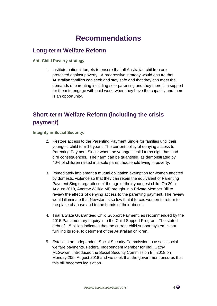### **Recommendations**

#### **Long-term Welfare Reform**

**Anti-Child Poverty strategy**

1. Institute national targets to ensure that all Australian children are protected against poverty. A progressive strategy would ensure that Australian families can seek and stay safe and that they can meet the demands of parenting including sole-parenting and they there is a support for them to engage with paid work, when they have the capacity and there is an opportunity.

#### **Short-term Welfare Reform (including the crisis payment)**

**Integrity in Social Security:**

- 2. Restore access to the Parenting Payment Single for families until their youngest child turn 16 years. The current policy of denying access to Parenting Payment Single when the youngest child turns eight has had dire consequences. The harm can be quantified, as demonstrated by 40% of children raised in a sole parent household living in poverty.
- 3. Immediately implement a mutual obligation exemption for women affected by domestic violence so that they can retain the equivalent of Parenting Payment Single regardless of the age of their youngest child. On 20th August 2018, Andrew Willkie MP brought in a Private Member Bill to review the effects of denying access to the parenting payment. The review would illuminate that Newstart is so low that it forces women to return to the place of abuse and to the hands of their abuser.
- 4. Trial a State Guaranteed Child Support Payment, as recommended by the 2015 Parliamentary Inquiry into the Child Support Program. The stated debt of 1.5 billion indicates that the current child support system is not fulfilling its role, to detriment of the Australian children.
- 5. Establish an Independent Social Security Commission to assess social welfare payments. Federal Independent Member for Indi, Cathy McGowan, introduced the Social Security Commission Bill 2018 on Monday 20th August 2018 and we seek that the government ensures that this bill becomes legislation.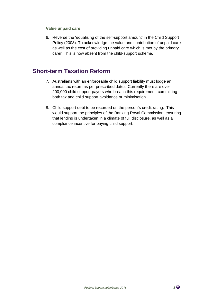#### **Value unpaid care**

6. Reverse the 'equalising of the self-support amount' in the Child Support Policy (2008). To acknowledge the value and contribution of unpaid care as well as the cost of providing unpaid care which is met by the primary carer. This is now absent from the child-support scheme.

#### **Short-term Taxation Reform**

- 7. Australians with an enforceable child support liability must lodge an annual tax return as per prescribed dates. Currently there are over 200,000 child support payers who breach this requirement, committing both tax and child support avoidance or minimisation.
- 8. Child support debt to be recorded on the person`s credit rating. This would support the principles of the Banking Royal Commission, ensuring that lending is undertaken in a climate of full disclosure, as well as a compliance incentive for paying child support.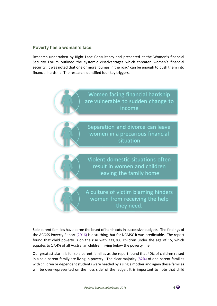#### **Poverty has a woman`s face.**

Research undertaken by Right Lane Consultancy and presented at the Women's financial Security Forum outlined the systemic disadvantages which threaten women's financial security. It was noted that one or more 'bumps in the road' can be enough to push them into financial hardship. The research identified four key triggers.



Sole parent families have borne the brunt of harsh cuts in successive budgets. The findings of the ACOSS Poverty Repor[t \(2016\)](https://www.acoss.org.au/wp-content/uploads/2016/10/Poverty-in-Australia-2016.pdf) is disturbing, but for NCMSC it was predictable. The report found that child poverty is on the rise with 731,300 children under the age of 15, which equates to 17.4% of all Australian children, living below the poverty line.

Our greatest alarm is for sole parent families as the report found that 40% of children raised in a sole parent family are living in poverty. The clear majority  $(82%)$  of one parent families with children or dependent students were headed by a single mother and again these families will be over-represented on the 'loss side' of the ledger. It is important to note that child

$$
6 \, \textcircled{\footnotesize{0}}
$$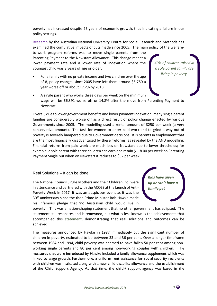poverty has increased despite 25 years of economic growth, thus indicating a failure in our policy settings.

[Research](http://rsss.anu.edu.au/news/income-trends-selected-single-parent-families) by the Australian National University Centre for Social Research and Methods has examined the cumulative impacts of cuts made since 2005. The main policy of the welfare-

to-work program reforms was to move single parents from the Parenting Payment to the Newstart Allowance. This change meant a lower payment rate and a lower rate of indexation where the youngest child was 8 years of age or older.

• For a family with no private income and two children over the age of 8, policy changes since 2005 have left them around \$5,750 a year worse off or about 17.2% by 2018.

*40% of children raised in a sole parent family are living in poverty.* 

• A single parent who works three days per week on the minimum wage will be \$6,391 worse off or 14.8% after the move from Parenting Payment to Newstart.

Overall, due to lower government benefits and lower payment indexation, many single parent families are considerably worse off as a direct result of policy change enacted by various Governments since 2005. The modelling used a rental amount of \$250 per week (a very conservative amount). The task for women to enter paid work and to grind a way out of poverty is severely hampered due to Government decisions. It is parents in employment that are the most financially disadvantaged by these 'reforms' as revealed by the ANU modelling. Financial returns from paid work are much less on Newstart due to lower thresholds; for example, a sole parent with three children can earn and retain \$118.00 per week on Parenting Payment Single but when on Newstart it reduces to \$52 per week.

#### Real Solutions – It can be done

The National Council Single Mothers and their Children Inc. were in attendance and partnered with the ACOSS at the launch of Anti-Poverty Week in 2017. It was an auspicious event as it was the 30<sup>th</sup> anniversary since the then Prime Minister Bob Hawke made his infamous pledge that 'no Australian child would live in



poverty'. This was a nation-shaping statement that no other government has eclipsed. The statement still resonates and is renowned, but what is less known is the achievements that accompanied this [statement,](https://www.smh.com.au/politics/federal/no-child-shall-live-in-poverty-study-finds-hawke-has-nothing-to-be-ashamed-of-20171014-gz0whw.html) demonstrating that real solutions and outcomes can be achieved.

The measures announced by Hawke in 1987 immediately cut the significant number of children in poverty, estimated to be between 33 and 36 per cent. Over a longer timeframe between 1984 and 1994, child poverty was deemed to have fallen 50 per cent among nonworking single parents and 80 per cent among non-working couples with children**.** The measures that were introduced by Hawke included **a** family allowance supplement which was linked to wage growth. Furthermore, a uniform rent assistance for social security recipients with children was instituted along with a new child disability allowance and the establishment of the Child Support Agency. At that time, the child-\ support agency was based in the

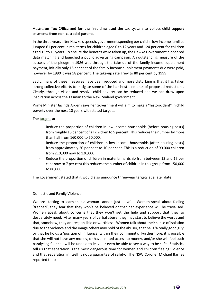Australian Tax Office and for the first time used the tax system to collect child support payments from non-custodial parents.

In the three years after Hawke's speech, government spending per child in low income families jumped 61 per cent in real terms for children aged 0 to 12 years and 124 per cent for children aged 13 to 15 years. To ensure the benefits were taken up, the Hawke Government pioneered data matching and launched a public advertising campaign. An outstanding measure of the success of the pledge in 1986 was through the take-up of the family income supplement payment; initially only 16 per cent of the family income supplement payments due were paid, however by 1990 it was 58 per cent. The take-up rate grew to 80 per cent by 1999.

Sadly, many of these measures have been reduced and more disturbing is that it has taken strong collective efforts to mitigate some of the harshest elements of proposed reductions. Clearly, through vision and resolve child poverty can be reduced and we can draw upon inspiration across the Tasman to the New Zealand government.

Prime Minister Jacinda Ardern says her Government will aim to make a "historic dent" in child poverty over the next 10 years with stated targets.

The [targets](https://www.stuff.co.nz/national/politics/101059262/government-sets-targets-for-reducing-child-poverty) are:

- Reduce the proportion of children in low income households (before housing costs) from roughly 15 per cent of all children to 5 percent. This reduces the number by more than half from 160,000 to 60,000.
- Reduce the proportion of children in low income households (after housing costs) from approximately 20 per cent to 10 per cent. This is a reduction of 90,000 children from 210,000 now to 120,000.
- Reduce the proportion of children in material hardship from between 13 and 15 per cent now to 7 per cent this reduces the number of children in this group from 150,000 to 80,000.

The government stated that it would also announce three-year targets at a later date.

#### Domestic and Family Violence

We are starting to learn that a woman cannot 'just leave'. Women speak about feeling 'trapped', they fear that they won't be believed or that her experience will be trivialised. Women speak about concerns that they won't get the help and support that they so desperately need. After many years of verbal abuse, they may start to believe the words and that, somehow, they are responsible or worthless. Women talk about their sense of isolation due to the violence and the image others may hold of the abuser, that he is 'a really good guy' or that he holds a 'position of influence' within their community. Furthermore, it is possible that she will not have any money, or have limited access to money, and/or she will feel such paralysing fear she will be unable to leave or even be able to see a way to be safe. Statistics tell us that separation is the most dangerous time for women and children fleeing violence and that separation in itself is not a guarantee of safety. The NSW Coroner Michael Barnes reported that: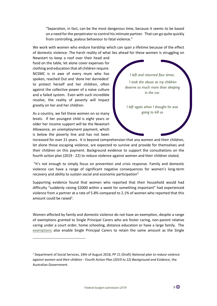"Separation, in fact, can be the most dangerous time, because it seems to be based on a need for the perpetrator to control his intimate partner. That can go quite quickly from controlling, jealous behaviour to fatal violence."

We work with women who endure hardship which can span a lifetime because of the effect of domestic violence. The harsh reality of what lies ahead for these women is struggling on

Newstart to keep a roof over their head and food on the table, let alone cover expenses for clothing and education that all children require. NCSMC is in awe of every mum who has spoken, reached Out and 'done her darnedest' to protect herself and her children, often against the collective power of a naïve culture and a failed system. Even with such incredible resolve, the reality of poverty will impact greatly on her and her children.

As a country, we fail these women on so many levels. If her youngest child is eight years or older her income support will be the Newstart Allowance, an unemployment payment, which is below the poverty line and has not been

l

*I left and returned four times. I took the abuse as my children deserve so much more than sleeping in the car. I left again when I thought he was going to kill us*

increased for over 21 years. It is beyond comprehension that any women and their children, let alone those escaping violence, are expected to survive and provide for themselves and their children on this payment. Background evidence to support the consultations on the fourth action plan (2019 - 22) to reduce violence against women and their children stated,

"It's not enough to simply focus on prevention and crisis response. Family and domestic violence can have a range of significant negative consequences for women's long-term recovery and ability to sustain social and economic participation"

Supporting evidence found that women who reported that their household would had difficulty "suddenly raising \$2000 within a week for something important" had experienced violence from a partner at a rate of 5.8% compared to 2.1% of women who reported that this amount could be raised<sup>1</sup>.

Women affected by family and domestic violence do not have an exemption, despite a range of exemptions granted to Single Principal Carers who are foster caring, non-parent relative caring under a court order, home schooling, distance education or have a large family. The [exemptions](https://www.humanservices.gov.au/individuals/subjects/exemptions-from-mutual-obligation-requirements-principal-carers#a6) also enable Single Principal Carers to retain the same amount as the Single



<sup>1</sup> Department of Social Services, 24th of August 2018, PP 21 (Draft) *National plan to reduce violence against women and their children - Fourth Action Plan (2019 to 22) Background and Evidence*, the Australian Government.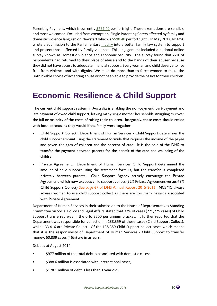Parenting Payment, which is currently [\\$762.40](https://www.humanservices.gov.au/individuals/services/centrelink/newstart-allowance/how-much-you-can-get) per fortnight. These exemptions are sensible and most welcomed. Excluded from exemption, Single Parenting Carers affected by family and domestic violence languish on Newstart which i[s \\$590.40](https://www.humanservices.gov.au/individuals/services/centrelink/newstart-allowance/how-much-you-can-get) per fortnight. In May 2017, NCMSC wrote a submission to the Parliamentary *[Inquiry](https://www.aph.gov.au/fvlawreform)* into a better family law system to support and protect those affected by family violence. This engagement included a national online survey known as Domestic Violence and Economic Security. The survey found that 22% of respondents had returned to their place of abuse and to the hands of their abuser because they did not have access to adequate financial support. Every woman and child deserve to live free from violence and with dignity. We must do more than to force women to make the unthinkable choice of accepting abuse or not been able to provide the basics for their children.

## **Economic Resilience & Child Support**

The current child support system in Australia is enabling the non-payment, part-payment and late payment of owed child support, leaving many single mother households struggling to cover the full or majority of the costs of raising their children. Inarguably, these costs should reside with both parents, as they would if the family were together.

- Child Support Collect: Department of Human Services Child Support determines the child support amount using the statement formula that requires the income of the payee and payer, the ages of children and the percent of care. It is the role of the DHS to transfer the payment between parents for the benefit of the care and wellbeing of the children.
- **Private Agreement:** Department of Human Services Child Support determined the amount of child support using the statement formula, but the transfer is completed privately between parents. Child Support Agency actively encourage the Private Agreement, which now exceeds child support collect (52% Private Agreement versus 48% Child Support Collect) [See page 67 of DHS Annual Report 2015-2016.](https://www.humanservices.gov.au/sites/default/files/8802-1610-annualreport2015-16.pdf) NCSMC always advises women to use child support collect as there are too many hazards associated with Private Agreement.

Department of Human Services in their submission to the House of Representatives Standing Committee on Social Policy and Legal Affairs stated that 37% of cases (271,775 cases) of Child Support transferred was in the 0 to \$500 per annum bracket. It further reported that the Department was responsible for collection in 138,359 of these cases (Child Support Collect), while 133,416 are Private Collect. Of the 138,359 Child Support collect cases which means that it is the responsibility of Department of Human Services - Child Support to transfer money, 60,839 cases (46%) are in arrears.

Debt as at August 2014:

- \$977 million of the total debt is associated with domestic cases;
- \$388.6 million is associated with international cases;
- \$178.1 million of debt is less than 1 year old;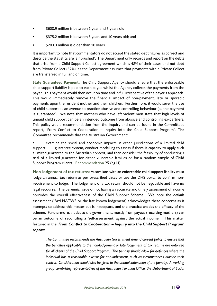- \$608.9 million is between 1 year and 5 years old;
- \$375.2 million is between 5 years and 10 years old; and
- \$203.3 million is older than 10 years.

It is important to note that commentators do not accept the stated debt figures as correct and describe the statistics are 'air brushed'. The Department only records and report on the debts that arise from a Child Support Collect agreement which is 48% of their cases and not debt from Private Collect (52%), as the Department assumes that payments within Private Collect are transferred in full and on time.

**State Guaranteed Payment:** The Child Support Agency should ensure that the enforceable child support liability is paid to each payee whilst the Agency collects the payments from the payer. This payment would then occur on time and in full irrespective of the payer's approach. This would immediately remove the financial impact of non-payment, late or sporadic payments upon the resident mother and their children. Furthermore, it would sever the use of child support as an avenue to practice abusive and controlling behaviour (as the payment is guaranteed). We note that mothers who have left violent men state that high levels of unpaid child support can be an intended outcome from abusive and controlling ex-partners. This policy was a recommendation from the Inquiry and can be found in the Committees report, 'From Conflict to Cooperation – Inquiry into the Child Support Program'. The Committee recommends that the Australian Government:

examine the social and economic impacts in other jurisdictions of a limited child support guarantee system, conduct modelling to assess if there is capacity to apply such a limited guarantee to the Australian context, and then consider the feasibility of conducting a trial of a limited guarantee for either vulnerable families or for a random sample of Child Support Program clients. [Recommendation](https://www.dss.gov.au/families-and-children/publications-articles/australian-government-response-to-the-house-of-representatives-standing-committee-on-social-policy-and-legal-affairs-report-from-conflict-to-cooperation-inquiry-into-the-child-support-program) 25 (pg14)

**Non-lodgement of tax returns:** Australians with an enforceable child support liability must lodge an annual tax return as per prescribed dates or use the DHS portal to confirm nonrequirement to lodge. The lodgement of a tax return should not be negotiable and have no legal recourse. The perennial issue of not having an accurate and timely assessment of income corrodes the overall effectiveness of the Child Support Scheme. We note the default assessment  $(2/3)$ rd MATWE or the last known lodgement) acknowledges these concerns as it attempts to address this matter but is inadequate, and the practice erodes the efficacy of the scheme. Furthermore, a debt to the government, mostly from payees (receiving mothers) can be an outcome of reconciling a 'self-assessment' against the actual income. This matter featured in the '*From Conflict to Cooperation – Inquiry into the Child Support Program' report:*

*The Committee recommends the Australian Government amend current policy to ensure that the penalties applicable to the non-lodgement or late lodgement of tax returns are enforced for all clients of the Child Support Program. The penalty should allow for defences where the individual has a reasonable excuse for non-lodgement, such as circumstances outside their control. Consideration should also be given to the annual indexation of the penalty. A working group comprising representatives of the Australian Taxation Office, the Department of Social*